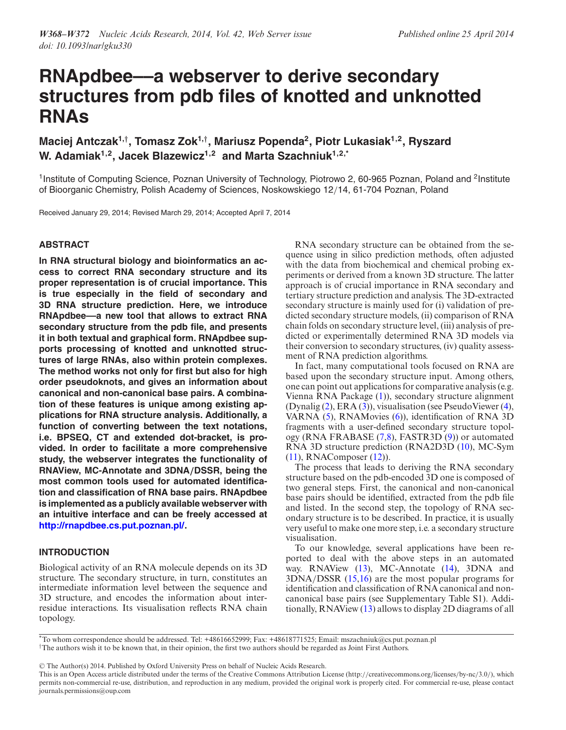# **RNApdbee––a webserver to derive secondary structures from pdb files of knotted and unknotted RNAs**

**Maciej Antczak1,***†***, Tomasz Zok1,***†***, Mariusz Popenda2, Piotr Lukasiak1,2, Ryszard** W. Adamiak<sup>1,2</sup>, Jacek Blazewicz<sup>1,2</sup> and Marta Szachniuk<sup>1,2,\*</sup>

<sup>1</sup> Institute of Computing Science, Poznan University of Technology, Piotrowo 2, 60-965 Poznan, Poland and <sup>2</sup> Institute of Bioorganic Chemistry, Polish Academy of Sciences, Noskowskiego 12/14, 61-704 Poznan, Poland

Received January 29, 2014; Revised March 29, 2014; Accepted April 7, 2014

## **ABSTRACT**

**In RNA structural biology and bioinformatics an access to correct RNA secondary structure and its proper representation is of crucial importance. This is true especially in the field of secondary and 3D RNA structure prediction. Here, we introduce RNApdbee––a new tool that allows to extract RNA secondary structure from the pdb file, and presents it in both textual and graphical form. RNApdbee supports processing of knotted and unknotted structures of large RNAs, also within protein complexes. The method works not only for first but also for high order pseudoknots, and gives an information about canonical and non-canonical base pairs. A combination of these features is unique among existing applications for RNA structure analysis. Additionally, a function of converting between the text notations, i.e. BPSEQ, CT and extended dot-bracket, is provided. In order to facilitate a more comprehensive study, the webserver integrates the functionality of RNAView, MC-Annotate and 3DNA***/***DSSR, being the most common tools used for automated identification and classification of RNA base pairs. RNApdbee is implemented as a publicly available webserver with an intuitive interface and can be freely accessed at [http://rnapdbee.cs.put.poznan.pl/.](http://rnapdbee.cs.put.poznan.pl/)**

# **INTRODUCTION**

Biological activity of an RNA molecule depends on its 3D structure. The secondary structure, in turn, constitutes an intermediate information level between the sequence and 3D structure, and encodes the information about interresidue interactions. Its visualisation reflects RNA chain topology.

RNA secondary structure can be obtained from the sequence using in silico prediction methods, often adjusted with the data from biochemical and chemical probing experiments or derived from a known 3D structure. The latter approach is of crucial importance in RNA secondary and tertiary structure prediction and analysis. The 3D-extracted secondary structure is mainly used for (i) validation of predicted secondary structure models, (ii) comparison of RNA chain folds on secondary structure level, (iii) analysis of predicted or experimentally determined RNA 3D models via their conversion to secondary structures, (iv) quality assessment of RNA prediction algorithms.

In fact, many computational tools focused on RNA are based upon the secondary structure input. Among others, one can point out applications for comparative analysis (e.g. Vienna RNA Package [\(1\)](#page-4-0)), secondary structure alignment (Dynalig [\(2\)](#page-4-0), ERA [\(3\)](#page-4-0)), visualisation (see PseudoViewer [\(4\)](#page-4-0), VARNA [\(5\)](#page-4-0), RNAMovies [\(6\)](#page-4-0)), identification of RNA 3D fragments with a user-defined secondary structure topology (RNA FRABASE [\(7,8\)](#page-4-0), FASTR3D [\(9\)](#page-4-0)) or automated RNA 3D structure prediction (RNA2D3D [\(10\)](#page-4-0), MC-Sym [\(11\)](#page-4-0), RNAComposer [\(12\)](#page-4-0)).

The process that leads to deriving the RNA secondary structure based on the pdb-encoded 3D one is composed of two general steps. First, the canonical and non-canonical base pairs should be identified, extracted from the pdb file and listed. In the second step, the topology of RNA secondary structure is to be described. In practice, it is usually very useful to make one more step, i.e. a secondary structure visualisation.

To our knowledge, several applications have been reported to deal with the above steps in an automated way. RNAView [\(13\)](#page-4-0), MC-Annotate [\(14\)](#page-4-0), 3DNA and 3DNA/DSSR [\(15,16\)](#page-4-0) are the most popular programs for identification and classification of RNA canonical and noncanonical base pairs (see Supplementary Table S1). Additionally, RNAView [\(13\)](#page-4-0) allows to display 2D diagrams of all

-<sup>C</sup> The Author(s) 2014. Published by Oxford University Press on behalf of Nucleic Acids Research.

<sup>\*</sup>To whom correspondence should be addressed. Tel: +48616652999; Fax: +48618771525; Email: mszachniuk@cs.put.poznan.pl †The authors wish it to be known that, in their opinion, the first two authors should be regarded as Joint First Authors.

This is an Open Access article distributed under the terms of the Creative Commons Attribution License (http://creativecommons.org/licenses/by-nc/3.0/), which permits non-commercial re-use, distribution, and reproduction in any medium, provided the original work is properly cited. For commercial re-use, please contact journals.permissions@oup.com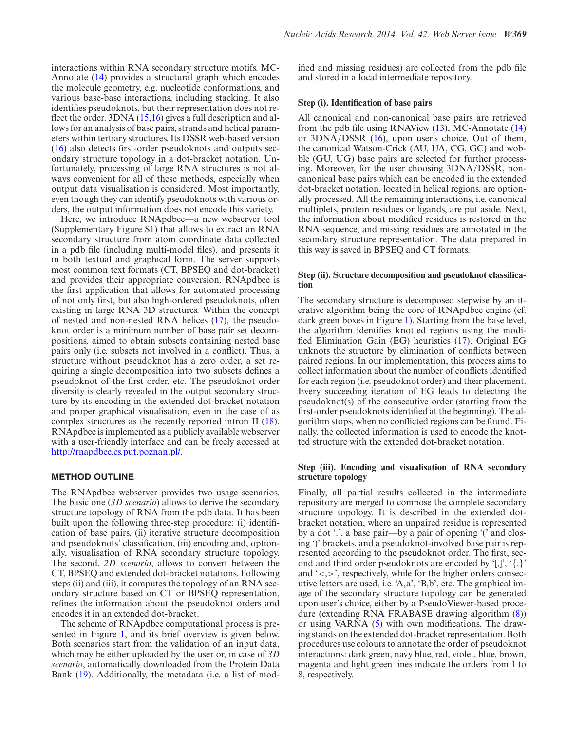interactions within RNA secondary structure motifs. MC-Annotate [\(14\)](#page-4-0) provides a structural graph which encodes the molecule geometry, e.g. nucleotide conformations, and various base-base interactions, including stacking. It also identifies pseudoknots, but their representation does not reflect the order. 3DNA [\(15,16\)](#page-4-0) gives a full description and allows for an analysis of base pairs, strands and helical parameters within tertiary structures. Its DSSR web-based version [\(16\)](#page-4-0) also detects first-order pseudoknots and outputs secondary structure topology in a dot-bracket notation. Unfortunately, processing of large RNA structures is not always convenient for all of these methods, especially when output data visualisation is considered. Most importantly, even though they can identify pseudoknots with various orders, the output information does not encode this variety.

Here, we introduce RNApdbee––a new webserver tool (Supplementary Figure S1) that allows to extract an RNA secondary structure from atom coordinate data collected in a pdb file (including multi-model files), and presents it in both textual and graphical form. The server supports most common text formats (CT, BPSEQ and dot-bracket) and provides their appropriate conversion. RNApdbee is the first application that allows for automated processing of not only first, but also high-ordered pseudoknots, often existing in large RNA 3D structures. Within the concept of nested and non-nested RNA helices [\(17\)](#page-4-0), the pseudoknot order is a minimum number of base pair set decompositions, aimed to obtain subsets containing nested base pairs only (i.e. subsets not involved in a conflict). Thus, a structure without pseudoknot has a zero order, a set requiring a single decomposition into two subsets defines a pseudoknot of the first order, etc. The pseudoknot order diversity is clearly revealed in the output secondary structure by its encoding in the extended dot-bracket notation and proper graphical visualisation, even in the case of as complex structures as the recently reported intron II [\(18\)](#page-4-0). RNApdbee is implemented as a publicly available webserver with a user-friendly interface and can be freely accessed at [http://rnapdbee.cs.put.poznan.pl/.](http://rnapdbee.cs.put.poznan.pl/)

# **METHOD OUTLINE**

The RNApdbee webserver provides two usage scenarios. The basic one (*3D scenario*) allows to derive the secondary structure topology of RNA from the pdb data. It has been built upon the following three-step procedure: (i) identification of base pairs, (ii) iterative structure decomposition and pseudoknots' classification, (iii) encoding and, optionally, visualisation of RNA secondary structure topology. The second, *2D scenario*, allows to convert between the CT, BPSEQ and extended dot-bracket notations. Following steps (ii) and (iii), it computes the topology of an RNA secondary structure based on CT or BPSEQ representation, refines the information about the pseudoknot orders and encodes it in an extended dot-bracket.

The scheme of RNApdbee computational process is presented in Figure [1,](#page-2-0) and its brief overview is given below. Both scenarios start from the validation of an input data, which may be either uploaded by the user or, in case of *3D scenario*, automatically downloaded from the Protein Data Bank [\(19\)](#page-4-0). Additionally, the metadata (i.e. a list of modified and missing residues) are collected from the pdb file and stored in a local intermediate repository.

# **Step (i). Identification of base pairs**

All canonical and non-canonical base pairs are retrieved from the pdb file using RNAView [\(13\)](#page-4-0), MC-Annotate [\(14\)](#page-4-0) or 3DNA/DSSR [\(16\)](#page-4-0), upon user's choice. Out of them, the canonical Watson-Crick (AU, UA, CG, GC) and wobble (GU, UG) base pairs are selected for further processing. Moreover, for the user choosing 3DNA/DSSR, noncanonical base pairs which can be encoded in the extended dot-bracket notation, located in helical regions, are optionally processed. All the remaining interactions, i.e. canonical multiplets, protein residues or ligands, are put aside. Next, the information about modified residues is restored in the RNA sequence, and missing residues are annotated in the secondary structure representation. The data prepared in this way is saved in BPSEQ and CT formats.

# **Step (ii). Structure decomposition and pseudoknot classification**

The secondary structure is decomposed stepwise by an iterative algorithm being the core of RNApdbee engine (cf. dark green boxes in Figure [1\)](#page-2-0). Starting from the base level, the algorithm identifies knotted regions using the modified Elimination Gain (EG) heuristics [\(17\)](#page-4-0). Original EG unknots the structure by elimination of conflicts between paired regions. In our implementation, this process aims to collect information about the number of conflicts identified for each region (i.e. pseudoknot order) and their placement. Every succeeding iteration of EG leads to detecting the pseudoknot(s) of the consecutive order (starting from the first-order pseudoknots identified at the beginning). The algorithm stops, when no conflicted regions can be found. Finally, the collected information is used to encode the knotted structure with the extended dot-bracket notation.

### **Step (iii). Encoding and visualisation of RNA secondary structure topology**

Finally, all partial results collected in the intermediate repository are merged to compose the complete secondary structure topology. It is described in the extended dotbracket notation, where an unpaired residue is represented by a dot '.', a base pair––by a pair of opening '(' and closing ')' brackets, and a pseudoknot-involved base pair is represented according to the pseudoknot order. The first, second and third order pseudoknots are encoded by '[,]', '{,}' and  $\langle \langle \cdot, \rangle \rangle$ , respectively, while for the higher orders consecutive letters are used, i.e. 'A,a', 'B,b', etc. The graphical image of the secondary structure topology can be generated upon user's choice, either by a PseudoViewer-based procedure (extending RNA FRABASE drawing algorithm [\(8\)](#page-4-0)) or using VARNA [\(5\)](#page-4-0) with own modifications. The drawing stands on the extended dot-bracket representation. Both procedures use colours to annotate the order of pseudoknot interactions: dark green, navy blue, red, violet, blue, brown, magenta and light green lines indicate the orders from 1 to 8, respectively.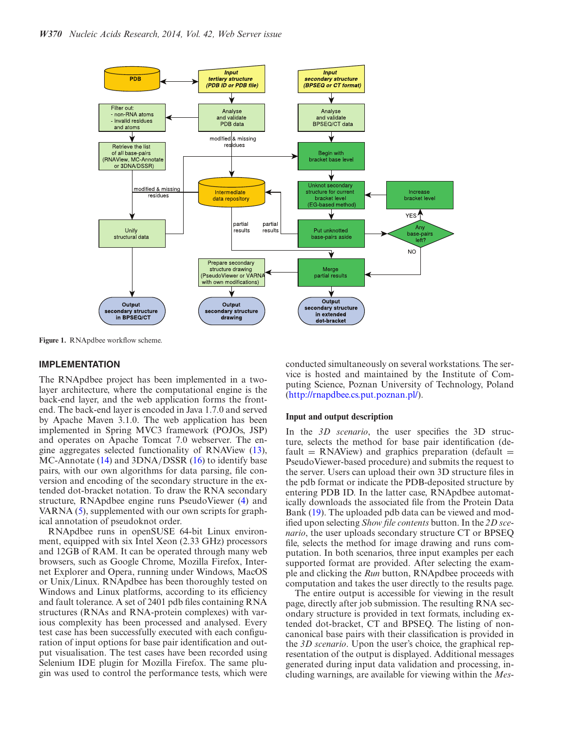<span id="page-2-0"></span>

**Figure 1.** RNApdbee workflow scheme.

#### **IMPLEMENTATION**

The RNApdbee project has been implemented in a twolayer architecture, where the computational engine is the back-end layer, and the web application forms the frontend. The back-end layer is encoded in Java 1.7.0 and served by Apache Maven 3.1.0. The web application has been implemented in Spring MVC3 framework (POJOs, JSP) and operates on Apache Tomcat 7.0 webserver. The engine aggregates selected functionality of RNAView [\(13\)](#page-4-0), MC-Annotate [\(14\)](#page-4-0) and 3DNA/DSSR [\(16\)](#page-4-0) to identify base pairs, with our own algorithms for data parsing, file conversion and encoding of the secondary structure in the extended dot-bracket notation. To draw the RNA secondary structure, RNApdbee engine runs PseudoViewer [\(4\)](#page-4-0) and VARNA [\(5\)](#page-4-0), supplemented with our own scripts for graphical annotation of pseudoknot order.

RNApdbee runs in openSUSE 64-bit Linux environment, equipped with six Intel Xeon (2.33 GHz) processors and 12GB of RAM. It can be operated through many web browsers, such as Google Chrome, Mozilla Firefox, Internet Explorer and Opera, running under Windows, MacOS or Unix/Linux. RNApdbee has been thoroughly tested on Windows and Linux platforms, according to its efficiency and fault tolerance. A set of 2401 pdb files containing RNA structures (RNAs and RNA-protein complexes) with various complexity has been processed and analysed. Every test case has been successfully executed with each configuration of input options for base pair identification and output visualisation. The test cases have been recorded using Selenium IDE plugin for Mozilla Firefox. The same plugin was used to control the performance tests, which were

conducted simultaneously on several workstations. The service is hosted and maintained by the Institute of Computing Science, Poznan University of Technology, Poland [\(http://rnapdbee.cs.put.poznan.pl/\)](http://rnapdbee.cs.put.poznan.pl/).

#### **Input and output description**

In the *3D scenario*, the user specifies the 3D structure, selects the method for base pair identification (default = RNAView) and graphics preparation (default = PseudoViewer-based procedure) and submits the request to the server. Users can upload their own 3D structure files in the pdb format or indicate the PDB-deposited structure by entering PDB ID. In the latter case, RNApdbee automatically downloads the associated file from the Protein Data Bank [\(19\)](#page-4-0). The uploaded pdb data can be viewed and modified upon selecting *Show file contents* button. In the *2D scenario*, the user uploads secondary structure CT or BPSEQ file, selects the method for image drawing and runs computation. In both scenarios, three input examples per each supported format are provided. After selecting the example and clicking the *Run* button, RNApdbee proceeds with computation and takes the user directly to the results page.

The entire output is accessible for viewing in the result page, directly after job submission. The resulting RNA secondary structure is provided in text formats, including extended dot-bracket, CT and BPSEQ. The listing of noncanonical base pairs with their classification is provided in the *3D scenario*. Upon the user's choice, the graphical representation of the output is displayed. Additional messages generated during input data validation and processing, including warnings, are available for viewing within the *Mes-*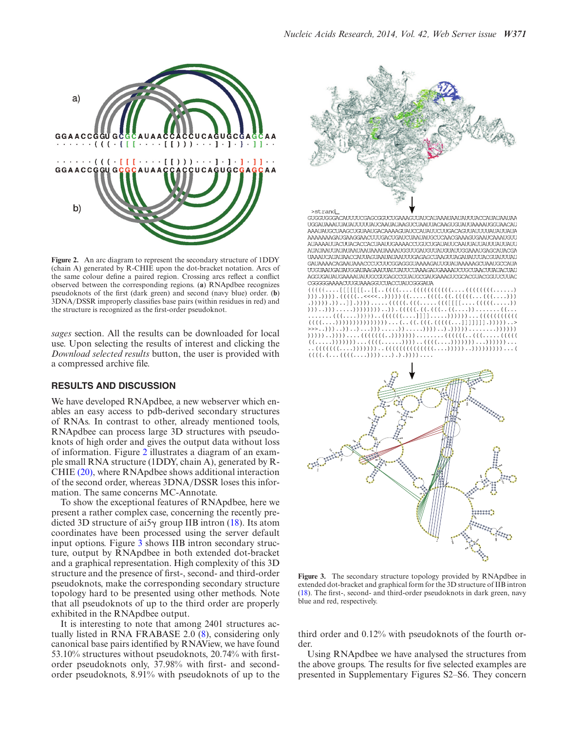

**Figure 2.** An arc diagram to represent the secondary structure of 1DDY (chain A) generated by R-CHIE upon the dot-bracket notation. Arcs of the same colour define a paired region. Crossing arcs reflect a conflict observed between the corresponding regions. (**a**) RNApdbee recognizes pseudoknots of the first (dark green) and second (navy blue) order. (**b**) 3DNA/DSSR improperly classifies base pairs (within residues in red) and the structure is recognized as the first-order pseudoknot.

*sages* section. All the results can be downloaded for local use. Upon selecting the results of interest and clicking the *Download selected results* button, the user is provided with a compressed archive file.

#### **RESULTS AND DISCUSSION**

We have developed RNApdbee, a new webserver which enables an easy access to pdb-derived secondary structures of RNAs. In contrast to other, already mentioned tools, RNApdbee can process large 3D structures with pseudoknots of high order and gives the output data without loss of information. Figure 2 illustrates a diagram of an example small RNA structure (1DDY, chain A), generated by R-CHIE [\(20\),](#page-4-0) where RNApdbee shows additional interaction of the second order, whereas 3DNA/DSSR loses this information. The same concerns MC-Annotate.

To show the exceptional features of RNApdbee, here we present a rather complex case, concerning the recently predicted 3D structure of ai5 $\gamma$  group IIB intron [\(18\)](#page-4-0). Its atom coordinates have been processed using the server default input options. Figure 3 shows IIB intron secondary structure, output by RNApdbee in both extended dot-bracket and a graphical representation. High complexity of this 3D structure and the presence of first-, second- and third-order pseudoknots, make the corresponding secondary structure topology hard to be presented using other methods. Note that all pseudoknots of up to the third order are properly exhibited in the RNApdbee output.

It is interesting to note that among 2401 structures actually listed in RNA FRABASE 2.0 [\(8\)](#page-4-0), considering only canonical base pairs identified by RNAView, we have found 53.10% structures without pseudoknots, 20.74% with firstorder pseudoknots only, 37.98% with first- and secondorder pseudoknots, 8.91% with pseudoknots of up to the



 $(((((\ldots, ((((\ldots,)))))\ldots, \ldots,)))))\ldots.$ 



**Figure 3.** The secondary structure topology provided by RNApdbee in extended dot-bracket and graphical form for the 3D structure of IIB intron [\(18\)](#page-4-0). The first-, second- and third-order pseudoknots in dark green, navy blue and red, respectively.

third order and 0.12% with pseudoknots of the fourth order.

Using RNApdbee we have analysed the structures from the above groups. The results for five selected examples are presented in Supplementary Figures S2–S6. They concern